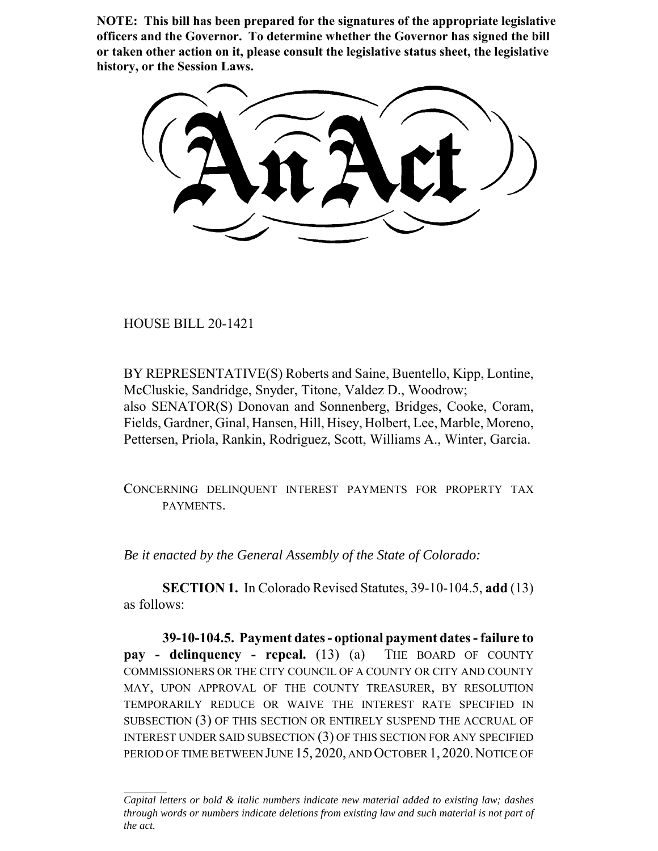**NOTE: This bill has been prepared for the signatures of the appropriate legislative officers and the Governor. To determine whether the Governor has signed the bill or taken other action on it, please consult the legislative status sheet, the legislative history, or the Session Laws.**

HOUSE BILL 20-1421

BY REPRESENTATIVE(S) Roberts and Saine, Buentello, Kipp, Lontine, McCluskie, Sandridge, Snyder, Titone, Valdez D., Woodrow; also SENATOR(S) Donovan and Sonnenberg, Bridges, Cooke, Coram, Fields, Gardner, Ginal, Hansen, Hill, Hisey, Holbert, Lee, Marble, Moreno, Pettersen, Priola, Rankin, Rodriguez, Scott, Williams A., Winter, Garcia.

CONCERNING DELINQUENT INTEREST PAYMENTS FOR PROPERTY TAX PAYMENTS.

*Be it enacted by the General Assembly of the State of Colorado:*

**SECTION 1.** In Colorado Revised Statutes, 39-10-104.5, **add** (13) as follows:

**39-10-104.5. Payment dates - optional payment dates - failure to pay - delinquency - repeal.** (13) (a) THE BOARD OF COUNTY COMMISSIONERS OR THE CITY COUNCIL OF A COUNTY OR CITY AND COUNTY MAY, UPON APPROVAL OF THE COUNTY TREASURER, BY RESOLUTION TEMPORARILY REDUCE OR WAIVE THE INTEREST RATE SPECIFIED IN SUBSECTION (3) OF THIS SECTION OR ENTIRELY SUSPEND THE ACCRUAL OF INTEREST UNDER SAID SUBSECTION (3) OF THIS SECTION FOR ANY SPECIFIED PERIOD OF TIME BETWEEN JUNE 15, 2020, AND OCTOBER 1, 2020. NOTICE OF

*Capital letters or bold & italic numbers indicate new material added to existing law; dashes through words or numbers indicate deletions from existing law and such material is not part of the act.*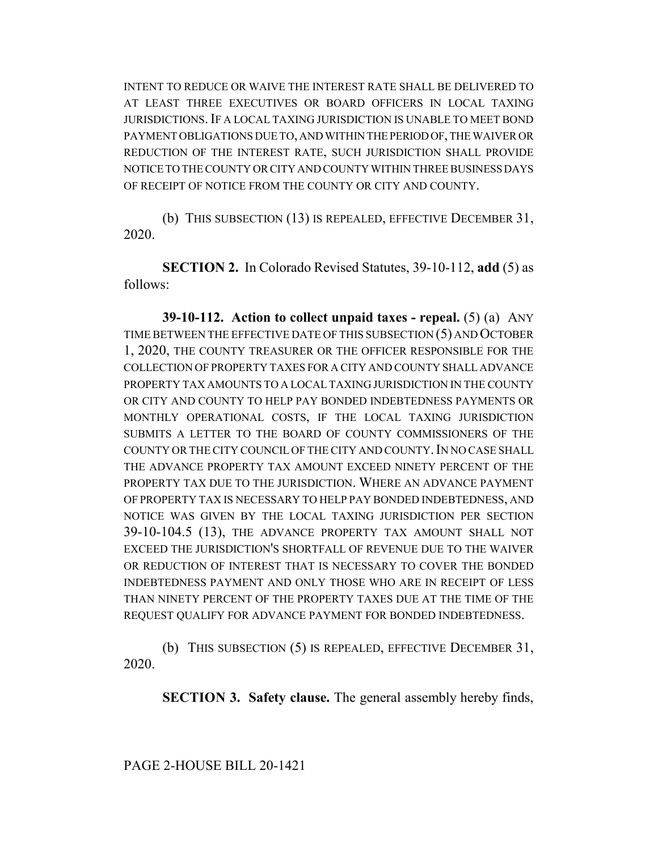INTENT TO REDUCE OR WAIVE THE INTEREST RATE SHALL BE DELIVERED TO AT LEAST THREE EXECUTIVES OR BOARD OFFICERS IN LOCAL TAXING JURISDICTIONS.IF A LOCAL TAXING JURISDICTION IS UNABLE TO MEET BOND PAYMENT OBLIGATIONS DUE TO, AND WITHIN THE PERIOD OF, THE WAIVER OR REDUCTION OF THE INTEREST RATE, SUCH JURISDICTION SHALL PROVIDE NOTICE TO THE COUNTY OR CITY AND COUNTY WITHIN THREE BUSINESS DAYS OF RECEIPT OF NOTICE FROM THE COUNTY OR CITY AND COUNTY.

(b) THIS SUBSECTION (13) IS REPEALED, EFFECTIVE DECEMBER 31, 2020.

**SECTION 2.** In Colorado Revised Statutes, 39-10-112, **add** (5) as follows:

**39-10-112. Action to collect unpaid taxes - repeal.** (5) (a) ANY TIME BETWEEN THE EFFECTIVE DATE OF THIS SUBSECTION (5) AND OCTOBER 1, 2020, THE COUNTY TREASURER OR THE OFFICER RESPONSIBLE FOR THE COLLECTION OF PROPERTY TAXES FOR A CITY AND COUNTY SHALL ADVANCE PROPERTY TAX AMOUNTS TO A LOCAL TAXING JURISDICTION IN THE COUNTY OR CITY AND COUNTY TO HELP PAY BONDED INDEBTEDNESS PAYMENTS OR MONTHLY OPERATIONAL COSTS, IF THE LOCAL TAXING JURISDICTION SUBMITS A LETTER TO THE BOARD OF COUNTY COMMISSIONERS OF THE COUNTY OR THE CITY COUNCIL OF THE CITY AND COUNTY. IN NO CASE SHALL THE ADVANCE PROPERTY TAX AMOUNT EXCEED NINETY PERCENT OF THE PROPERTY TAX DUE TO THE JURISDICTION. WHERE AN ADVANCE PAYMENT OF PROPERTY TAX IS NECESSARY TO HELP PAY BONDED INDEBTEDNESS, AND NOTICE WAS GIVEN BY THE LOCAL TAXING JURISDICTION PER SECTION 39-10-104.5 (13), THE ADVANCE PROPERTY TAX AMOUNT SHALL NOT EXCEED THE JURISDICTION'S SHORTFALL OF REVENUE DUE TO THE WAIVER OR REDUCTION OF INTEREST THAT IS NECESSARY TO COVER THE BONDED INDEBTEDNESS PAYMENT AND ONLY THOSE WHO ARE IN RECEIPT OF LESS THAN NINETY PERCENT OF THE PROPERTY TAXES DUE AT THE TIME OF THE REQUEST QUALIFY FOR ADVANCE PAYMENT FOR BONDED INDEBTEDNESS.

(b) THIS SUBSECTION (5) IS REPEALED, EFFECTIVE DECEMBER 31, 2020.

**SECTION 3. Safety clause.** The general assembly hereby finds,